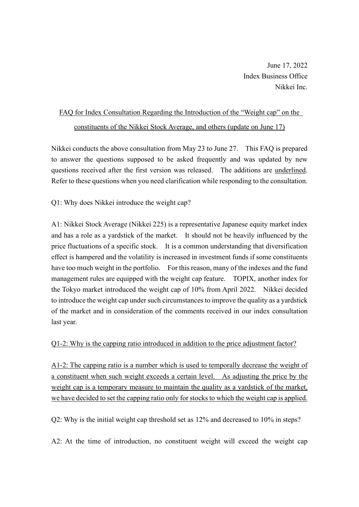June 17, 2022 Index Business Office Nikkei Inc.

## FAQ for Index Consultation Regarding the Introduction of the "Weight cap" on the constituents of the Nikkei Stock Average, and others (update on June 17)

Nikkei conducts the above consultation from May 23 to June 27. This FAQ is prepared to answer the questions supposed to be asked frequently and was updated by new questions received after the first version was released. The additions are underlined. Refer to these questions when you need clarification while responding to the consultation.

Q1: Why does Nikkei introduce the weight cap?

A1: Nikkei Stock Average (Nikkei 225) is a representative Japanese equity market index and has a role as a yardstick of the market. It should not be heavily influenced by the price fluctuations of a specific stock. It is a common understanding that diversification effect is hampered and the volatility is increased in investment funds if some constituents have too much weight in the portfolio. For this reason, many of the indexes and the fund management rules are equipped with the weight cap feature. TOPIX, another index for the Tokyo market introduced the weight cap of 10% from April 2022. Nikkei decided to introduce the weight cap under such circumstances to improve the quality as a yardstick of the market and in consideration of the comments received in our index consultation last year.

Q1-2: Why is the capping ratio introduced in addition to the price adjustment factor?

A1-2: The capping ratio is a number which is used to temporally decrease the weight of a constituent when such weight exceeds a certain level. As adjusting the price by the weight cap is a temporary measure to maintain the quality as a yardstick of the market, we have decided to set the capping ratio only for stocks to which the weight cap is applied.

Q2: Why is the initial weight cap threshold set as 12% and decreased to 10% in steps?

A2: At the time of introduction, no constituent weight will exceed the weight cap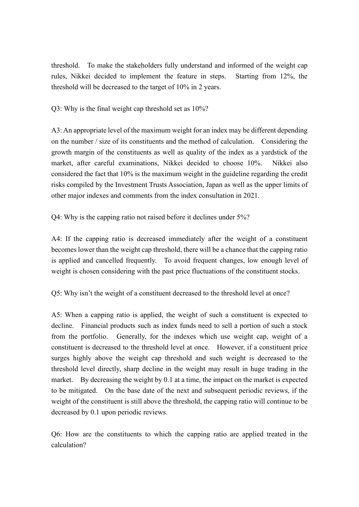threshold. To make the stakeholders fully understand and informed of the weight cap rules, Nikkei decided to implement the feature in steps. Starting from 12%, the threshold will be decreased to the target of 10% in 2 years.

Q3: Why is the final weight cap threshold set as 10%?

A3: An appropriate level of the maximum weight for an index may be different depending on the number / size of its constituents and the method of calculation. Considering the growth margin of the constituents as well as quality of the index as a yardstick of the market, after careful examinations, Nikkei decided to choose 10%. Nikkei also considered the fact that 10% is the maximum weight in the guideline regarding the credit risks compiled by the Investment Trusts Association, Japan as well as the upper limits of other major indexes and comments from the index consultation in 2021.

Q4: Why is the capping ratio not raised before it declines under 5%?

A4: If the capping ratio is decreased immediately after the weight of a constituent becomes lower than the weight cap threshold, there will be a chance that the capping ratio is applied and cancelled frequently. To avoid frequent changes, low enough level of weight is chosen considering with the past price fluctuations of the constituent stocks.

Q5: Why isn't the weight of a constituent decreased to the threshold level at once?

A5: When a capping ratio is applied, the weight of such a constituent is expected to decline. Financial products such as index funds need to sell a portion of such a stock from the portfolio. Generally, for the indexes which use weight cap, weight of a constituent is decreased to the threshold level at once. However, if a constituent price surges highly above the weight cap threshold and such weight is decreased to the threshold level directly, sharp decline in the weight may result in huge trading in the market. By decreasing the weight by 0.1 at a time, the impact on the market is expected to be mitigated. On the base date of the next and subsequent periodic reviews, if the weight of the constituent is still above the threshold, the capping ratio will continue to be decreased by 0.1 upon periodic reviews.

Q6: How are the constituents to which the capping ratio are applied treated in the calculation?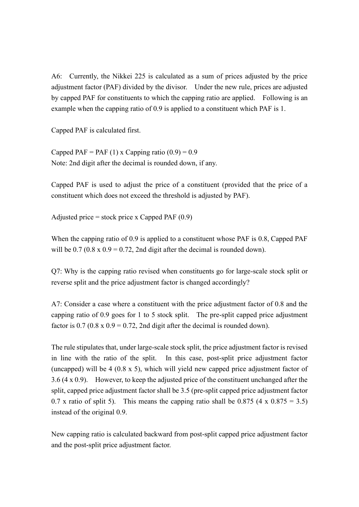A6: Currently, the Nikkei 225 is calculated as a sum of prices adjusted by the price adjustment factor (PAF) divided by the divisor. Under the new rule, prices are adjusted by capped PAF for constituents to which the capping ratio are applied. Following is an example when the capping ratio of 0.9 is applied to a constituent which PAF is 1.

Capped PAF is calculated first.

Capped PAF = PAF (1) x Capping ratio  $(0.9) = 0.9$ Note: 2nd digit after the decimal is rounded down, if any.

Capped PAF is used to adjust the price of a constituent (provided that the price of a constituent which does not exceed the threshold is adjusted by PAF).

Adjusted price = stock price x Capped PAF  $(0.9)$ 

When the capping ratio of 0.9 is applied to a constituent whose PAF is 0.8, Capped PAF will be  $0.7 (0.8 \times 0.9 = 0.72, 2nd$  digit after the decimal is rounded down).

Q7: Why is the capping ratio revised when constituents go for large-scale stock split or reverse split and the price adjustment factor is changed accordingly?

A7: Consider a case where a constituent with the price adjustment factor of 0.8 and the capping ratio of 0.9 goes for 1 to 5 stock split. The pre-split capped price adjustment factor is  $0.7$  ( $0.8 \times 0.9 = 0.72$ , 2nd digit after the decimal is rounded down).

The rule stipulates that, under large-scale stock split, the price adjustment factor is revised in line with the ratio of the split. In this case, post-split price adjustment factor (uncapped) will be 4 (0.8 x 5), which will yield new capped price adjustment factor of 3.6 (4 x 0.9). However, to keep the adjusted price of the constituent unchanged after the split, capped price adjustment factor shall be 3.5 (pre-split capped price adjustment factor 0.7 x ratio of split 5). This means the capping ratio shall be 0.875 (4 x 0.875 = 3.5) instead of the original 0.9.

New capping ratio is calculated backward from post-split capped price adjustment factor and the post-split price adjustment factor.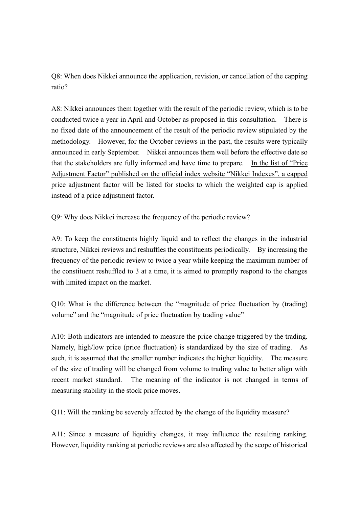Q8: When does Nikkei announce the application, revision, or cancellation of the capping ratio?

A8: Nikkei announces them together with the result of the periodic review, which is to be conducted twice a year in April and October as proposed in this consultation. There is no fixed date of the announcement of the result of the periodic review stipulated by the methodology. However, for the October reviews in the past, the results were typically announced in early September. Nikkei announces them well before the effective date so that the stakeholders are fully informed and have time to prepare. In the list of "Price Adjustment Factor" published on the official index website "Nikkei Indexes", a capped price adjustment factor will be listed for stocks to which the weighted cap is applied instead of a price adjustment factor.

Q9: Why does Nikkei increase the frequency of the periodic review?

A9: To keep the constituents highly liquid and to reflect the changes in the industrial structure, Nikkei reviews and reshuffles the constituents periodically. By increasing the frequency of the periodic review to twice a year while keeping the maximum number of the constituent reshuffled to 3 at a time, it is aimed to promptly respond to the changes with limited impact on the market.

Q10: What is the difference between the "magnitude of price fluctuation by (trading) volume" and the "magnitude of price fluctuation by trading value"

A10: Both indicators are intended to measure the price change triggered by the trading. Namely, high/low price (price fluctuation) is standardized by the size of trading. As such, it is assumed that the smaller number indicates the higher liquidity. The measure of the size of trading will be changed from volume to trading value to better align with recent market standard. The meaning of the indicator is not changed in terms of measuring stability in the stock price moves.

Q11: Will the ranking be severely affected by the change of the liquidity measure?

A11: Since a measure of liquidity changes, it may influence the resulting ranking. However, liquidity ranking at periodic reviews are also affected by the scope of historical